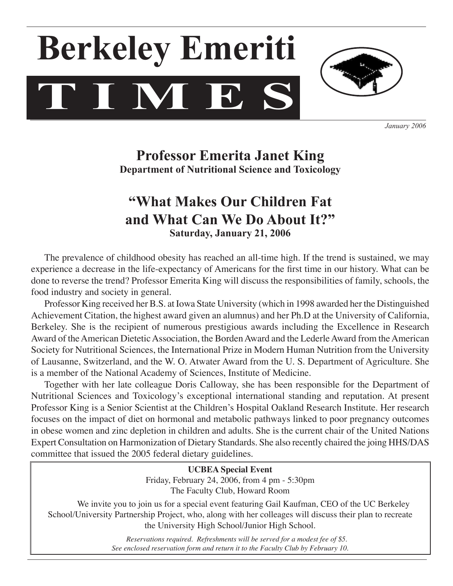# **T I M E S Berkeley Emeriti**



*January 2006*

## **Professor Emerita Janet King Department of Nutritional Science and Toxicology**

## **"What Makes Our Children Fat and What Can We Do About It?" Saturday, January 21, 2006**

The prevalence of childhood obesity has reached an all-time high. If the trend is sustained, we may experience a decrease in the life-expectancy of Americans for the first time in our history. What can be done to reverse the trend? Professor Emerita King will discuss the responsibilities of family, schools, the food industry and society in general.

 Professor King received her B.S. at Iowa State University (which in 1998 awarded her the Distinguished Achievement Citation, the highest award given an alumnus) and her Ph.D at the University of California, Berkeley. She is the recipient of numerous prestigious awards including the Excellence in Research Award of the American Dietetic Association, the Borden Award and the Lederle Award from the American Society for Nutritional Sciences, the International Prize in Modern Human Nutrition from the University of Lausanne, Switzerland, and the W. O. Atwater Award from the U. S. Department of Agriculture. She is a member of the National Academy of Sciences, Institute of Medicine.

 Together with her late colleague Doris Calloway, she has been responsible for the Department of Nutritional Sciences and Toxicology's exceptional international standing and reputation. At present Professor King is a Senior Scientist at the Children's Hospital Oakland Research Institute. Her research focuses on the impact of diet on hormonal and metabolic pathways linked to poor pregnancy outcomes in obese women and zinc depletion in children and adults. She is the current chair of the United Nations Expert Consultation on Harmonization of Dietary Standards. She also recently chaired the joing HHS/DAS committee that issued the 2005 federal dietary guidelines.

> **UCBEA Special Event** Friday, February 24, 2006, from 4 pm - 5:30pm The Faculty Club, Howard Room

We invite you to join us for a special event featuring Gail Kaufman, CEO of the UC Berkeley School/University Partnership Project, who, along with her colleages will discuss their plan to recreate the University High School/Junior High School.

> *Reservations required. Refreshments will be served for a modest fee of \$5. See enclosed reservation form and return it to the Faculty Club by February 10.*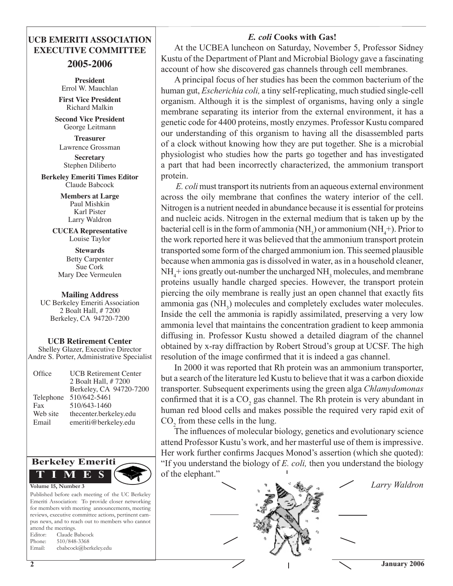#### *E. coli* **Cooks with Gas!**

### **UCB EMERITI ASSOCIATION EXECUTIVE COMMITTEE**

#### **2005-2006**

**President** Errol W. Mauchlan **First Vice President**

Richard Malkin

**Second Vice President** George Leitmann

**Treasurer**  Lawrence Grossman

**Secretary**  Stephen Diliberto

**Berkeley Emeriti Times Editor** Claude Babcock

> **Members at Large** Paul Mishkin Karl Pister Larry Waldron

**CUCEA Representative** Louise Taylor

**Stewards** Betty Carpenter Sue Cork Mary Dee Vermeulen

#### **Mailing Address**

UC Berkeley Emeriti Association 2 Boalt Hall, # 7200 Berkeley, CA 94720-7200

**UCB Retirement Center** Shelley Glazer, Executive Director Andre S. Porter, Administrative Specialist

| Office    | <b>UCB</b> Retirement Center<br>2 Boalt Hall, #7200<br>Berkeley, CA 94720-7200 |
|-----------|--------------------------------------------------------------------------------|
| Telephone | 510/642-5461                                                                   |
| Fax       | 510/643-1460                                                                   |
| Web site  | thecenter.berkeley.edu                                                         |
| Email     | emeriti@berkeley.edu                                                           |



Published before each meeting of the UC Berkeley Emeriti Association: To provide closer networking for members with meeting announcements, meeting reviews, executive committee actions, pertinent campus news, and to reach out to members who cannot attend the meetings. Editor: Claude Babcock Phone: 510/848-3368 Email: cbabcock@berkeley.edu

 At the UCBEA luncheon on Saturday, November 5, Professor Sidney Kustu of the Department of Plant and Microbial Biology gave a fascinating account of how she discovered gas channels through cell membranes.

 A principal focus of her studies has been the common bacterium of the human gut, *Escherichia coli,* a tiny self-replicating, much studied single-cell organism. Although it is the simplest of organisms, having only a single membrane separating its interior from the external environment, it has a genetic code for 4400 proteins, mostly enzymes. Professor Kustu compared our understanding of this organism to having all the disassembled parts of a clock without knowing how they are put together. She is a microbial physiologist who studies how the parts go together and has investigated a part that had been incorrectly characterized, the ammonium transport protein.

*E. coli* must transport its nutrients from an aqueous external environment across the oily membrane that confines the watery interior of the cell. Nitrogen is a nutrient needed in abundance because it is essential for proteins and nucleic acids. Nitrogen in the external medium that is taken up by the bacterial cell is in the form of ammonia (NH<sub>3</sub>) or ammonium (NH<sub>4</sub>+). Prior to the work reported here it was believed that the ammonium transport protein transported some form of the charged ammonium ion. This seemed plausible because when ammonia gas is dissolved in water, as in a household cleaner,  $NH<sub>4</sub>$ + ions greatly out-number the uncharged  $NH<sub>3</sub>$  molecules, and membrane proteins usually handle charged species. However, the transport protein piercing the oily membrane is really just an open channel that exactly fits ammonia gas (NH<sub>3</sub>) molecules and completely excludes water molecules. Inside the cell the ammonia is rapidly assimilated, preserving a very low ammonia level that maintains the concentration gradient to keep ammonia diffusing in. Professor Kustu showed a detailed diagram of the channel obtained by x-ray diffraction by Robert Stroud's group at UCSF. The high resolution of the image confirmed that it is indeed a gas channel.

 In 2000 it was reported that Rh protein was an ammonium transporter, but a search of the literature led Kustu to believe that it was a carbon dioxide transporter. Subsequent experiments using the green alga *Chlamydomonas*  confirmed that it is a  $CO<sub>2</sub>$  gas channel. The Rh protein is very abundant in human red blood cells and makes possible the required very rapid exit of CO<sub>2</sub> from these cells in the lung.

The influences of molecular biology, genetics and evolutionary science attend Professor Kustu's work, and her masterful use of them is impressive. Her work further confirms Jacques Monod's assertion (which she quoted): "If you understand the biology of *E. coli,* then you understand the biology of the elephant."

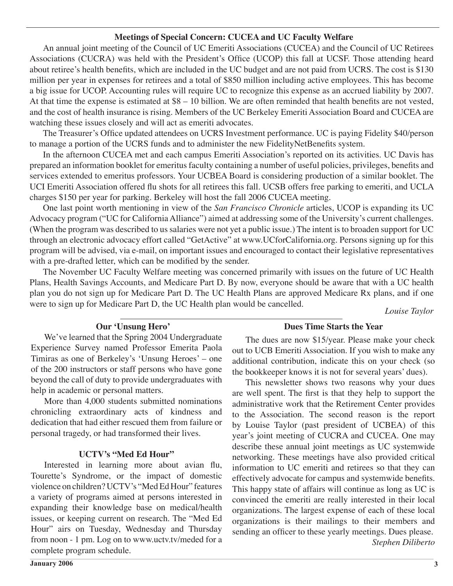#### **Meetings of Special Concern: CUCEA and UC Faculty Welfare**

 An annual joint meeting of the Council of UC Emeriti Associations (CUCEA) and the Council of UC Retirees Associations (CUCRA) was held with the President's Office (UCOP) this fall at UCSF. Those attending heard about retiree's health benefits, which are included in the UC budget and are not paid from UCRS. The cost is \$130 million per year in expenses for retirees and a total of \$850 million including active employees. This has become a big issue for UCOP. Accounting rules will require UC to recognize this expense as an accrued liability by 2007. At that time the expense is estimated at \$8 – 10 billion. We are often reminded that health benefits are not vested, and the cost of health insurance is rising. Members of the UC Berkeley Emeriti Association Board and CUCEA are watching these issues closely and will act as emeriti advocates.

The Treasurer's Office updated attendees on UCRS Investment performance. UC is paying Fidelity \$40/person to manage a portion of the UCRS funds and to administer the new FidelityNetBenefits system.

 In the afternoon CUCEA met and each campus Emeriti Association's reported on its activities. UC Davis has prepared an information booklet for emeritus faculty containing a number of useful policies, privileges, benefits and services extended to emeritus professors. Your UCBEA Board is considering production of a similar booklet. The UCI Emeriti Association offered flu shots for all retirees this fall. UCSB offers free parking to emeriti, and UCLA charges \$150 per year for parking. Berkeley will host the fall 2006 CUCEA meeting.

One last point worth mentioning in view of the *San Francisco Chronicle* articles, UCOP is expanding its UC Advocacy program ("UC for CaliforniaAlliance") aimed at addressing some of the University's current challenges. (When the program was described to us salaries were not yet a public issue.) The intent is to broaden support for UC through an electronic advocacy effort called "GetActive" at www.UCforCalifornia.org. Persons signing up for this program will be advised, via e-mail, on important issues and encouraged to contact their legislative representatives with a pre-drafted letter, which can be modified by the sender.

The November UC Faculty Welfare meeting was concerned primarily with issues on the future of UC Health Plans, Health Savings Accounts, and Medicare Part D. By now, everyone should be aware that with a UC health plan you do not sign up for Medicare Part D. The UC Health Plans are approved Medicare Rx plans, and if one were to sign up for Medicare Part D, the UC Health plan would be cancelled.

*Louise Taylor*

#### **Our 'Unsung Hero'**

#### **Dues Time Starts the Year**

We've learned that the Spring 2004 Undergraduate Experience Survey named Professor Emerita Paola Timiras as one of Berkeley's 'Unsung Heroes' – one of the 200 instructors or staff persons who have gone beyond the call of duty to provide undergraduates with help in academic or personal matters.

 More than 4,000 students submitted nominations chronicling extraordinary acts of kindness and dedication that had either rescued them from failure or personal tragedy, or had transformed their lives.

#### **UCTV's "Med Ed Hour"**

Interested in learning more about avian flu, Tourette's Syndrome, or the impact of domestic violence on children?UCTV's "MedEdHour" features a variety of programs aimed at persons interested in expanding their knowledge base on medical/health issues, or keeping current on research. The "Med Ed Hour" airs on Tuesday, Wednesday and Thursday from noon - 1 pm. Log on to www.uctv.tv/meded for a complete program schedule.

The dues are now \$15/year. Please make your check out to UCB Emeriti Association. If you wish to make any additional contribution, indicate this on your check (so the bookkeeper knows it is not for several years' dues).

 This newsletter shows two reasons why your dues are well spent. The first is that they help to support the administrative work that the Retirement Center provides to the Association. The second reason is the report by Louise Taylor (past president of UCBEA) of this year's joint meeting of CUCRA and CUCEA. One may describe these annual joint meetings as UC systemwide networking. These meetings have also provided critical information to UC emeriti and retirees so that they can effectively advocate for campus and systemwide benefits. This happy state of affairs will continue as long as UC is convinced the emeriti are really interested in their local organizations. The largest expense of each of these local organizations is their mailings to their members and sending an officer to these yearly meetings. Dues please. *Stephen Diliberto*